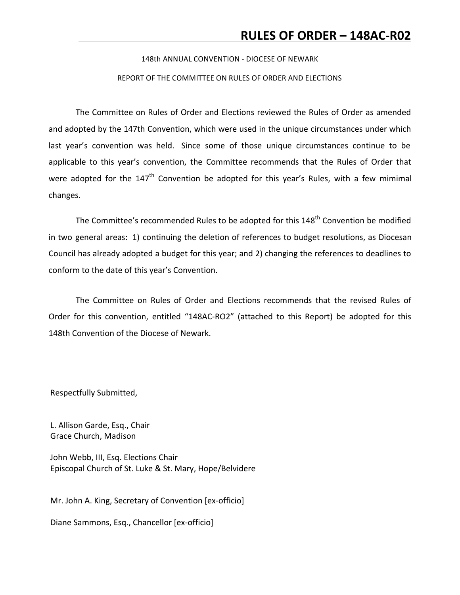#### 148th ANNUAL CONVENTION - DIOCESE OF NEWARK

#### REPORT OF THE COMMITTEE ON RULES OF ORDER AND ELECTIONS

The Committee on Rules of Order and Elections reviewed the Rules of Order as amended and adopted by the 147th Convention, which were used in the unique circumstances under which last year's convention was held. Since some of those unique circumstances continue to be applicable to this year's convention, the Committee recommends that the Rules of Order that were adopted for the  $147<sup>th</sup>$  Convention be adopted for this year's Rules, with a few mimimal changes. 

The Committee's recommended Rules to be adopted for this  $148^{th}$  Convention be modified in two general areas: 1) continuing the deletion of references to budget resolutions, as Diocesan Council has already adopted a budget for this year; and 2) changing the references to deadlines to conform to the date of this year's Convention.

The Committee on Rules of Order and Elections recommends that the revised Rules of Order for this convention, entitled "148AC-RO2" (attached to this Report) be adopted for this 148th Convention of the Diocese of Newark.

Respectfully Submitted,

L. Allison Garde, Esq., Chair Grace Church, Madison

John Webb, III, Esq. Elections Chair Episcopal Church of St. Luke & St. Mary, Hope/Belvidere

Mr. John A. King, Secretary of Convention [ex-officio]

Diane Sammons, Esq., Chancellor [ex-officio]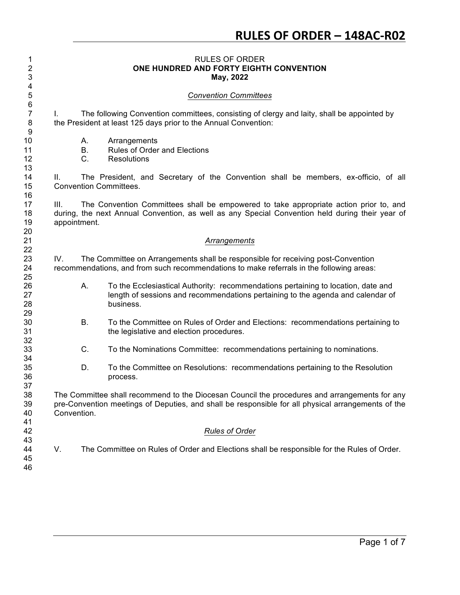### RULES OF ORDER **ONE HUNDRED AND FORTY EIGHTH CONVENTION May, 2022**

### *Convention Committees*

 I. The following Convention committees, consisting of clergy and laity, shall be appointed by 8 the President at least 125 days prior to the Annual Convention:

- A. Arrangements
- B. Rules of Order and Elections
- C. Resolutions

 II. The President, and Secretary of the Convention shall be members, ex-officio, of all Convention Committees.

 III. The Convention Committees shall be empowered to take appropriate action prior to, and during, the next Annual Convention, as well as any Special Convention held during their year of appointment.

#### *Arrangements*

 IV. The Committee on Arrangements shall be responsible for receiving post-Convention recommendations, and from such recommendations to make referrals in the following areas:

- 26 A. To the Ecclesiastical Authority: recommendations pertaining to location, date and **ince in sect of sessions and recommendations pertaining to the agenda and calendar of** business.
- B. To the Committee on Rules of Order and Elections: recommendations pertaining to the legislative and election procedures.
- C. To the Nominations Committee: recommendations pertaining to nominations.
- D. To the Committee on Resolutions: recommendations pertaining to the Resolution process.

 The Committee shall recommend to the Diocesan Council the procedures and arrangements for any pre-Convention meetings of Deputies, and shall be responsible for all physical arrangements of the Convention.

#### *Rules of Order*

 

4<br>5

V. The Committee on Rules of Order and Elections shall be responsible for the Rules of Order.

Page 1 of 7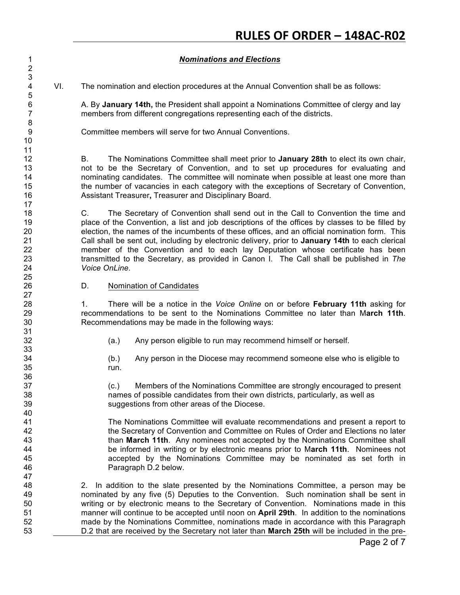## *Nominations and Elections*

VI. The nomination and election procedures at the Annual Convention shall be as follows:

 A. By **January 14th,** the President shall appoint a Nominations Committee of clergy and lay members from different congregations representing each of the districts.

Committee members will serve for two Annual Conventions.

 B. The Nominations Committee shall meet prior to **January 28th** to elect its own chair, not to be the Secretary of Convention, and to set up procedures for evaluating and nominating candidates. The committee will nominate when possible at least one more than the number of vacancies in each category with the exceptions of Secretary of Convention, Assistant Treasurer**,** Treasurer and Disciplinary Board.

 C. The Secretary of Convention shall send out in the Call to Convention the time and place of the Convention, a list and job descriptions of the offices by classes to be filled by election, the names of the incumbents of these offices, and an official nomination form. This Call shall be sent out, including by electronic delivery, prior to **January 14th** to each clerical member of the Convention and to each lay Deputation whose certificate has been transmitted to the Secretary, as provided in Canon I. The Call shall be published in *The Voice OnLine*.

D. Nomination of Candidates

 

 

 1. There will be a notice in the *Voice Online* on or before **February 11th** asking for recommendations to be sent to the Nominations Committee no later than M**arch 11th**. Recommendations may be made in the following ways:

32 (a.) Any person eligible to run may recommend himself or herself.

 (b.) Any person in the Diocese may recommend someone else who is eligible to run.

 (c.) Members of the Nominations Committee are strongly encouraged to present names of possible candidates from their own districts, particularly, as well as suggestions from other areas of the Diocese.

 The Nominations Committee will evaluate recommendations and present a report to the Secretary of Convention and Committee on Rules of Order and Elections no later than **March 11th**. Any nominees not accepted by the Nominations Committee shall be informed in writing or by electronic means prior to M**arch 11th**. Nominees not accepted by the Nominations Committee may be nominated as set forth in Paragraph D.2 below.

 2. In addition to the slate presented by the Nominations Committee, a person may be nominated by any five (5) Deputies to the Convention. Such nomination shall be sent in writing or by electronic means to the Secretary of Convention. Nominations made in this manner will continue to be accepted until noon on **April 29th**. In addition to the nominations made by the Nominations Committee, nominations made in accordance with this Paragraph D.2 that are received by the Secretary not later than **March 25th** will be included in the pre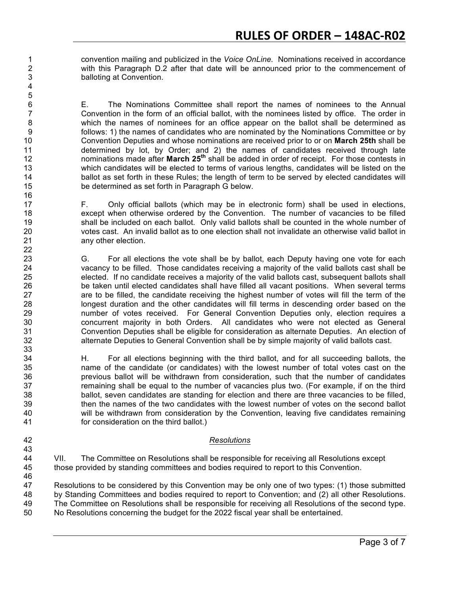convention mailing and publicized in the *Voice OnLine.* Nominations received in accordance with this Paragraph D.2 after that date will be announced prior to the commencement of balloting at Convention.

 E. The Nominations Committee shall report the names of nominees to the Annual Convention in the form of an official ballot, with the nominees listed by office. The order in which the names of nominees for an office appear on the ballot shall be determined as follows: 1) the names of candidates who are nominated by the Nominations Committee or by Convention Deputies and whose nominations are received prior to or on **March 25th** shall be determined by lot, by Order; and 2) the names of candidates received through late nominations made after **March 25<sup>th</sup>** shall be added in order of receipt. For those contests in which candidates will be elected to terms of various lengths, candidates will be listed on the 14 ballot as set forth in these Rules; the length of term to be served by elected candidates will be determined as set forth in Paragraph G below.

 F. Only official ballots (which may be in electronic form) shall be used in elections, except when otherwise ordered by the Convention. The number of vacancies to be filled shall be included on each ballot. Only valid ballots shall be counted in the whole number of votes cast. An invalid ballot as to one election shall not invalidate an otherwise valid ballot in any other election.

 G. For all elections the vote shall be by ballot, each Deputy having one vote for each vacancy to be filled. Those candidates receiving a majority of the valid ballots cast shall be elected. If no candidate receives a majority of the valid ballots cast, subsequent ballots shall be taken until elected candidates shall have filled all vacant positions. When several terms are to be filled, the candidate receiving the highest number of votes will fill the term of the longest duration and the other candidates will fill terms in descending order based on the number of votes received. For General Convention Deputies only, election requires a concurrent majority in both Orders. All candidates who were not elected as General Convention Deputies shall be eligible for consideration as alternate Deputies. An election of alternate Deputies to General Convention shall be by simple majority of valid ballots cast.

 H. For all elections beginning with the third ballot, and for all succeeding ballots, the name of the candidate (or candidates) with the lowest number of total votes cast on the previous ballot will be withdrawn from consideration, such that the number of candidates remaining shall be equal to the number of vacancies plus two. (For example, if on the third ballot, seven candidates are standing for election and there are three vacancies to be filled, then the names of the two candidates with the lowest number of votes on the second ballot will be withdrawn from consideration by the Convention, leaving five candidates remaining for consideration on the third ballot.)

### *Resolutions*

 VII. The Committee on Resolutions shall be responsible for receiving all Resolutions except those provided by standing committees and bodies required to report to this Convention.

 Resolutions to be considered by this Convention may be only one of two types: (1) those submitted by Standing Committees and bodies required to report to Convention; and (2) all other Resolutions. The Committee on Resolutions shall be responsible for receiving all Resolutions of the second type. No Resolutions concerning the budget for the 2022 fiscal year shall be entertained.

Page 3 of 7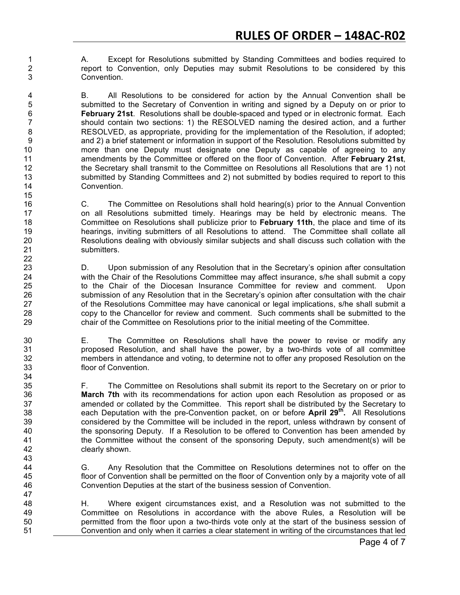A. Except for Resolutions submitted by Standing Committees and bodies required to report to Convention, only Deputies may submit Resolutions to be considered by this Convention.

4 B. All Resolutions to be considered for action by the Annual Convention shall be submitted to the Secretary of Convention in writing and signed by a Deputy on or prior to submitted to the Secretary of Convention in writing and signed by a Deputy on or prior to **February 21st**. Resolutions shall be double-spaced and typed or in electronic format. Each should contain two sections: 1) the RESOLVED naming the desired action, and a further RESOLVED, as appropriate, providing for the implementation of the Resolution, if adopted; and 2) a brief statement or information in support of the Resolution. Resolutions submitted by more than one Deputy must designate one Deputy as capable of agreeing to any amendments by the Committee or offered on the floor of Convention. After **February 21st**, the Secretary shall transmit to the Committee on Resolutions all Resolutions that are 1) not submitted by Standing Committees and 2) not submitted by bodies required to report to this Convention.

 C. The Committee on Resolutions shall hold hearing(s) prior to the Annual Convention on all Resolutions submitted timely. Hearings may be held by electronic means. The Committee on Resolutions shall publicize prior to **February 11th**, the place and time of its hearings, inviting submitters of all Resolutions to attend. The Committee shall collate all Resolutions dealing with obviously similar subjects and shall discuss such collation with the submitters.

 D. Upon submission of any Resolution that in the Secretary's opinion after consultation 24 with the Chair of the Resolutions Committee may affect insurance, s/he shall submit a copy to the Chair of the Diocesan Insurance Committee for review and comment. Upon submission of any Resolution that in the Secretary's opinion after consultation with the chair 27 of the Resolutions Committee may have canonical or legal implications, s/he shall submit a copy to the Chancellor for review and comment. Such comments shall be submitted to the chair of the Committee on Resolutions prior to the initial meeting of the Committee.

 E. The Committee on Resolutions shall have the power to revise or modify any proposed Resolution, and shall have the power, by a two-thirds vote of all committee members in attendance and voting, to determine not to offer any proposed Resolution on the floor of Convention.

 F. The Committee on Resolutions shall submit its report to the Secretary on or prior to **March 7th** with its recommendations for action upon each Resolution as proposed or as amended or collated by the Committee. This report shall be distributed by the Secretary to **... each Deputation with the pre-Convention packet, on or before April 29<sup>th</sup>. All Resolutions**  considered by the Committee will be included in the report, unless withdrawn by consent of the sponsoring Deputy. If a Resolution to be offered to Convention has been amended by the Committee without the consent of the sponsoring Deputy, such amendment(s) will be clearly shown.

 G. Any Resolution that the Committee on Resolutions determines not to offer on the floor of Convention shall be permitted on the floor of Convention only by a majority vote of all Convention Deputies at the start of the business session of Convention.

 H. Where exigent circumstances exist, and a Resolution was not submitted to the Committee on Resolutions in accordance with the above Rules, a Resolution will be permitted from the floor upon a two-thirds vote only at the start of the business session of Convention and only when it carries a clear statement in writing of the circumstances that led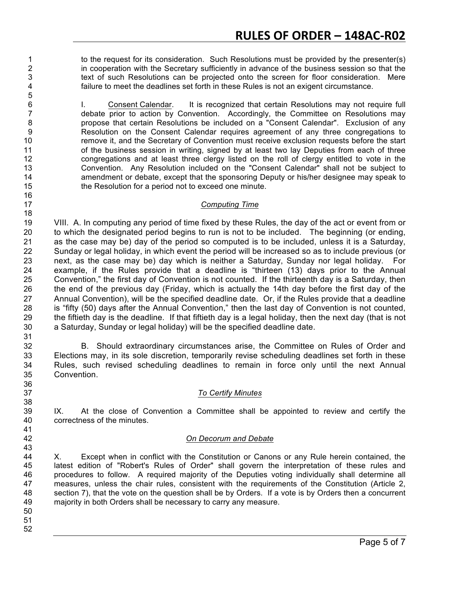to the request for its consideration. Such Resolutions must be provided by the presenter(s) 2 in cooperation with the Secretary sufficiently in advance of the business session so that the text of such Resolutions can be projected onto the screen for floor consideration. Mere failure to meet the deadlines set forth in these Rules is not an exigent circumstance.

1. Consent Calendar. It is recognized that certain Resolutions may not require full debate prior to action by Convention. Accordingly, the Committee on Resolutions may propose that certain Resolutions be included on a "Consent Calendar".Exclusion of any Resolution on the Consent Calendar requires agreement of any three congregations to remove it, and the Secretary of Convention must receive exclusion requests before the start 11 of the business session in writing, signed by at least two lay Deputies from each of three congregations and at least three clergy listed on the roll of clergy entitled to vote in the Convention. Any Resolution included on the "Consent Calendar" shall not be subject to amendment or debate, except that the sponsoring Deputy or his/her designee may speak to the Resolution for a period not to exceed one minute.

## *Computing Time*

 VIII. A. In computing any period of time fixed by these Rules, the day of the act or event from or to which the designated period begins to run is not to be included. The beginning (or ending, as the case may be) day of the period so computed is to be included, unless it is a Saturday, Sunday or legal holiday, in which event the period will be increased so as to include previous (or next, as the case may be) day which is neither a Saturday, Sunday nor legal holiday. For example, if the Rules provide that a deadline is "thirteen (13) days prior to the Annual Convention," the first day of Convention is not counted. If the thirteenth day is a Saturday, then the end of the previous day (Friday, which is actually the 14th day before the first day of the Annual Convention), will be the specified deadline date. Or, if the Rules provide that a deadline is "fifty (50) days after the Annual Convention," then the last day of Convention is not counted, the fiftieth day is the deadline. If that fiftieth day is a legal holiday, then the next day (that is not a Saturday, Sunday or legal holiday) will be the specified deadline date.

 B. Should extraordinary circumstances arise, the Committee on Rules of Order and Elections may, in its sole discretion, temporarily revise scheduling deadlines set forth in these Rules, such revised scheduling deadlines to remain in force only until the next Annual Convention.

# *To Certify Minutes*

 IX. At the close of Convention a Committee shall be appointed to review and certify the correctness of the minutes.

## *On Decorum and Debate*

 X. Except when in conflict with the Constitution or Canons or any Rule herein contained, the latest edition of "Robert's Rules of Order" shall govern the interpretation of these rules and procedures to follow. A required majority of the Deputies voting individually shall determine all 47 measures, unless the chair rules, consistent with the requirements of the Constitution (Article 2, section 7), that the vote on the question shall be by Orders. If a vote is by Orders then a concurrent majority in both Orders shall be necessary to carry any measure.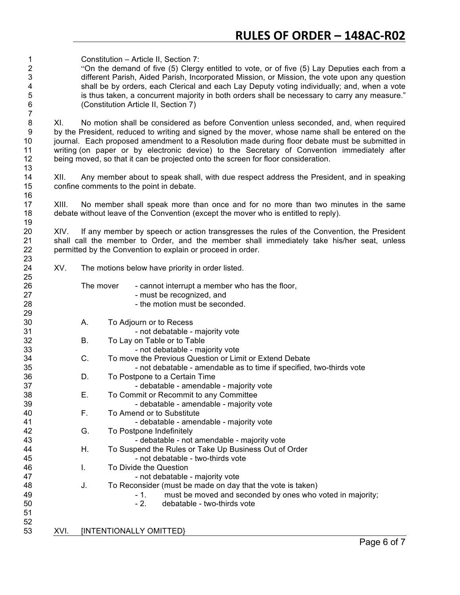Constitution – Article II, Section 7: "On the demand of five (5) Clergy entitled to vote, or of five (5) Lay Deputies each from a different Parish, Aided Parish, Incorporated Mission, or Mission, the vote upon any question 4 shall be by orders, each Clerical and each Lay Deputy voting individually; and, when a vote<br>5 is thus taken, a concurrent majority in both orders shall be necessary to carry any measure." 5 is thus taken, a concurrent majority in both orders shall be necessary to carry any measure."<br>6 (Constitution Article II, Section 7) (Constitution Article II, Section 7)

 XI. No motion shall be considered as before Convention unless seconded, and, when required 9 by the President, reduced to writing and signed by the mover, whose name shall be entered on the journal. Each proposed amendment to a Resolution made during floor debate must be submitted in writing (on paper or by electronic device) to the Secretary of Convention immediately after being moved, so that it can be projected onto the screen for floor consideration.

 XII. Any member about to speak shall, with due respect address the President, and in speaking confine comments to the point in debate.

 XIII. No member shall speak more than once and for no more than two minutes in the same debate without leave of the Convention (except the mover who is entitled to reply).

 XIV. If any member by speech or action transgresses the rules of the Convention, the President shall call the member to Order, and the member shall immediately take his/her seat, unless permitted by the Convention to explain or proceed in order.

XV. The motions below have priority in order listed.

| 25 |      |           |                                                                      |
|----|------|-----------|----------------------------------------------------------------------|
| 26 |      | The mover | - cannot interrupt a member who has the floor,                       |
| 27 |      |           | - must be recognized, and                                            |
| 28 |      |           | - the motion must be seconded.                                       |
| 29 |      |           |                                                                      |
| 30 |      | Α.        | To Adjourn or to Recess                                              |
| 31 |      |           | - not debatable - majority vote                                      |
| 32 |      | Β.        | To Lay on Table or to Table                                          |
| 33 |      |           | - not debatable - majority vote                                      |
| 34 |      | C.        | To move the Previous Question or Limit or Extend Debate              |
| 35 |      |           | - not debatable - amendable as to time if specified, two-thirds vote |
| 36 |      | D.        | To Postpone to a Certain Time                                        |
| 37 |      |           | - debatable - amendable - majority vote                              |
| 38 |      | Ε.        | To Commit or Recommit to any Committee                               |
| 39 |      |           | - debatable - amendable - majority vote                              |
| 40 |      | F.        | To Amend or to Substitute                                            |
| 41 |      |           | - debatable - amendable - majority vote                              |
| 42 |      | G.        | To Postpone Indefinitely                                             |
| 43 |      |           | - debatable - not amendable - majority vote                          |
| 44 |      | Η.        | To Suspend the Rules or Take Up Business Out of Order                |
| 45 |      |           | - not debatable - two-thirds vote                                    |
| 46 |      | I.        | To Divide the Question                                               |
| 47 |      |           | - not debatable - majority vote                                      |
| 48 |      | J.        | To Reconsider (must be made on day that the vote is taken)           |
| 49 |      |           | must be moved and seconded by ones who voted in majority;<br>$-1.$   |
| 50 |      |           | debatable - two-thirds vote<br>$-2$ .                                |
| 51 |      |           |                                                                      |
| 52 |      |           |                                                                      |
| 53 | XVI. |           | [INTENTIONALLY OMITTED}                                              |
|    |      |           | B.                                                                   |